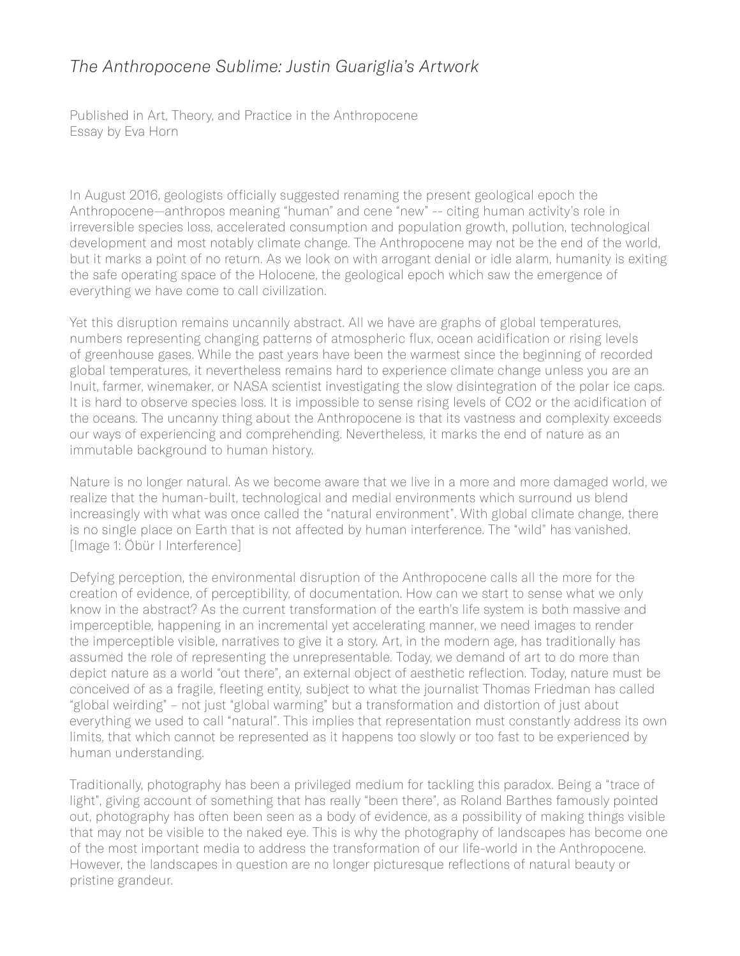## *The Anthropocene Sublime: Justin Guariglia's Artwork*

Published in Art, Theory, and Practice in the Anthropocene Essay by Eva Horn

In August 2016, geologists officially suggested renaming the present geological epoch the Anthropocene—anthropos meaning "human" and cene "new" -- citing human activity's role in irreversible species loss, accelerated consumption and population growth, pollution, technological development and most notably climate change. The Anthropocene may not be the end of the world, but it marks a point of no return. As we look on with arrogant denial or idle alarm, humanity is exiting the safe operating space of the Holocene, the geological epoch which saw the emergence of everything we have come to call civilization.

Yet this disruption remains uncannily abstract. All we have are graphs of global temperatures, numbers representing changing patterns of atmospheric flux, ocean acidification or rising levels of greenhouse gases. While the past years have been the warmest since the beginning of recorded global temperatures, it nevertheless remains hard to experience climate change unless you are an Inuit, farmer, winemaker, or NASA scientist investigating the slow disintegration of the polar ice caps. It is hard to observe species loss. It is impossible to sense rising levels of CO2 or the acidification of the oceans. The uncanny thing about the Anthropocene is that its vastness and complexity exceeds our ways of experiencing and comprehending. Nevertheless, it marks the end of nature as an immutable background to human history.

Nature is no longer natural. As we become aware that we live in a more and more damaged world, we realize that the human-built, technological and medial environments which surround us blend increasingly with what was once called the "natural environment". With global climate change, there is no single place on Earth that is not affected by human interference. The "wild" has vanished. [Image 1: Öbür I Interference]

Defying perception, the environmental disruption of the Anthropocene calls all the more for the creation of evidence, of perceptibility, of documentation. How can we start to sense what we only know in the abstract? As the current transformation of the earth's life system is both massive and imperceptible, happening in an incremental yet accelerating manner, we need images to render the imperceptible visible, narratives to give it a story. Art, in the modern age, has traditionally has assumed the role of representing the unrepresentable. Today, we demand of art to do more than depict nature as a world "out there", an external object of aesthetic reflection. Today, nature must be conceived of as a fragile, fleeting entity, subject to what the journalist Thomas Friedman has called "global weirding" – not just "global warming" but a transformation and distortion of just about everything we used to call "natural". This implies that representation must constantly address its own limits, that which cannot be represented as it happens too slowly or too fast to be experienced by human understanding.

Traditionally, photography has been a privileged medium for tackling this paradox. Being a "trace of light", giving account of something that has really "been there", as Roland Barthes famously pointed out, photography has often been seen as a body of evidence, as a possibility of making things visible that may not be visible to the naked eye. This is why the photography of landscapes has become one of the most important media to address the transformation of our life-world in the Anthropocene. However, the landscapes in question are no longer picturesque reflections of natural beauty or pristine grandeur.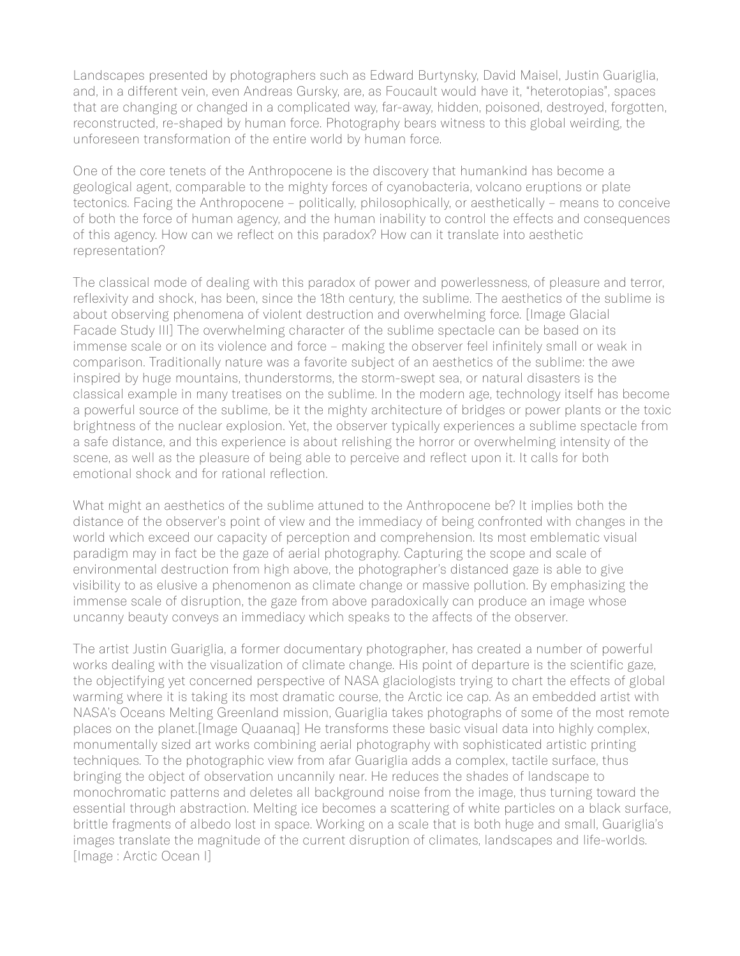Landscapes presented by photographers such as Edward Burtynsky, David Maisel, Justin Guariglia, and, in a different vein, even Andreas Gursky, are, as Foucault would have it, "heterotopias", spaces that are changing or changed in a complicated way, far-away, hidden, poisoned, destroyed, forgotten, reconstructed, re-shaped by human force. Photography bears witness to this global weirding, the unforeseen transformation of the entire world by human force.

One of the core tenets of the Anthropocene is the discovery that humankind has become a geological agent, comparable to the mighty forces of cyanobacteria, volcano eruptions or plate tectonics. Facing the Anthropocene – politically, philosophically, or aesthetically – means to conceive of both the force of human agency, and the human inability to control the effects and consequences of this agency. How can we reflect on this paradox? How can it translate into aesthetic representation?

The classical mode of dealing with this paradox of power and powerlessness, of pleasure and terror, reflexivity and shock, has been, since the 18th century, the sublime. The aesthetics of the sublime is about observing phenomena of violent destruction and overwhelming force. [Image Glacial Facade Study III] The overwhelming character of the sublime spectacle can be based on its immense scale or on its violence and force – making the observer feel infinitely small or weak in comparison. Traditionally nature was a favorite subject of an aesthetics of the sublime: the awe inspired by huge mountains, thunderstorms, the storm-swept sea, or natural disasters is the classical example in many treatises on the sublime. In the modern age, technology itself has become a powerful source of the sublime, be it the mighty architecture of bridges or power plants or the toxic brightness of the nuclear explosion. Yet, the observer typically experiences a sublime spectacle from a safe distance, and this experience is about relishing the horror or overwhelming intensity of the scene, as well as the pleasure of being able to perceive and reflect upon it. It calls for both emotional shock and for rational reflection.

What might an aesthetics of the sublime attuned to the Anthropocene be? It implies both the distance of the observer's point of view and the immediacy of being confronted with changes in the world which exceed our capacity of perception and comprehension. Its most emblematic visual paradigm may in fact be the gaze of aerial photography. Capturing the scope and scale of environmental destruction from high above, the photographer's distanced gaze is able to give visibility to as elusive a phenomenon as climate change or massive pollution. By emphasizing the immense scale of disruption, the gaze from above paradoxically can produce an image whose uncanny beauty conveys an immediacy which speaks to the affects of the observer.

The artist Justin Guariglia, a former documentary photographer, has created a number of powerful works dealing with the visualization of climate change. His point of departure is the scientific gaze, the objectifying yet concerned perspective of NASA glaciologists trying to chart the effects of global warming where it is taking its most dramatic course, the Arctic ice cap. As an embedded artist with NASA's Oceans Melting Greenland mission, Guariglia takes photographs of some of the most remote places on the planet.[Image Quaanaq] He transforms these basic visual data into highly complex, monumentally sized art works combining aerial photography with sophisticated artistic printing techniques. To the photographic view from afar Guariglia adds a complex, tactile surface, thus bringing the object of observation uncannily near. He reduces the shades of landscape to monochromatic patterns and deletes all background noise from the image, thus turning toward the essential through abstraction. Melting ice becomes a scattering of white particles on a black surface, brittle fragments of albedo lost in space. Working on a scale that is both huge and small, Guariglia's images translate the magnitude of the current disruption of climates, landscapes and life-worlds. [Image : Arctic Ocean I]